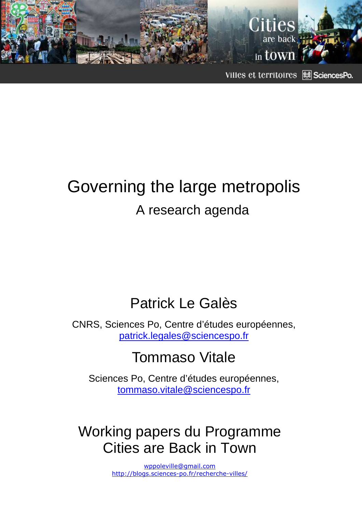

Villes et territoires **Ed** SciencesPo.

# Governing the large metropolis A research agenda

## Patrick Le Galès

CNRS, Sciences Po, Centre d'études européennes, patrick.legales@sciencespo.fr

## Tommaso Vitale

Sciences Po, Centre d'études européennes, tommaso.vitale@sciencespo.fr

## Working papers du Programme Cities are Back in Town

wppoleville@gmail.com http://blogs.sciences-po.fr/recherche-villes/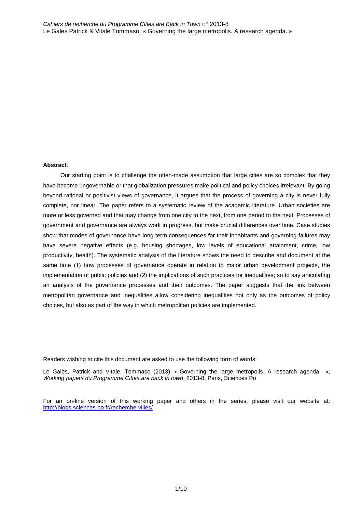#### **Abstract**:

Our starting point is to challenge the often-made assumption that large cities are so complex that they have become ungovernable or that globalization pressures make political and policy choices irrelevant. By going beyond rational or positivist views of governance, it argues that the process of governing a city is never fully complete, nor linear. The paper refers to a systematic review of the academic literature. Urban societies are more or less governed and that may change from one city to the next, from one period to the next. Processes of government and governance are always work in progress, but make crucial differences over time. Case studies show that modes of governance have long-term consequences for their inhabitants and governing failures may have severe negative effects (e.g. housing shortages, low levels of educational attainment, crime, low productivity, health). The systematic analysis of the literature shows the need to describe and document at the same time (1) how processes of governance operate in relation to major urban development projects, the implementation of public policies and (2) the implications of such practices for inequalities; so to say articulating an analysis of the governance processes and their outcomes. The paper suggests that the link between metropolitan governance and inequalities allow considering inequalities not only as the outcomes of policy choices, but also as part of the way in which metropolitan policies are implemented.

Readers wishing to cite this document are asked to use the following form of words:

Le Galès, Patrick and Vitale, Tommaso (2013). « Governing the large metropolis. A research agenda », Working papers du Programme Cities are back in town, 2013-8, Paris, Sciences Po

For an on-line version of this working paper and others in the series, please visit our website at: http://blogs.sciences-po.fr/recherche-villes/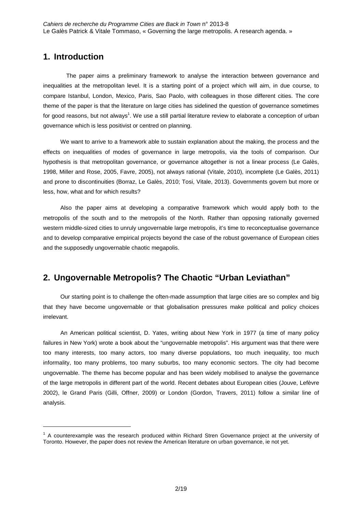## **1. Introduction**

 $\overline{a}$ 

 The paper aims a preliminary framework to analyse the interaction between governance and inequalities at the metropolitan level. It is a starting point of a project which will aim, in due course, to compare Istanbul, London, Mexico, Paris, Sao Paolo, with colleagues in those different cities. The core theme of the paper is that the literature on large cities has sidelined the question of governance sometimes for good reasons, but not always<sup>1</sup>. We use a still partial literature review to elaborate a conception of urban governance which is less positivist or centred on planning.

We want to arrive to a framework able to sustain explanation about the making, the process and the effects on inequalities of modes of governance in large metropolis, via the tools of comparison. Our hypothesis is that metropolitan governance, or governance altogether is not a linear process (Le Galès, 1998, Miller and Rose, 2005, Favre, 2005), not always rational (Vitale, 2010), incomplete (Le Galès, 2011) and prone to discontinuities (Borraz, Le Galès, 2010; Tosi, Vitale, 2013). Governments govern but more or less, how, what and for which results?

Also the paper aims at developing a comparative framework which would apply both to the metropolis of the south and to the metropolis of the North. Rather than opposing rationally governed western middle-sized cities to unruly ungovernable large metropolis, it's time to reconceptualise governance and to develop comparative empirical projects beyond the case of the robust governance of European cities and the supposedly ungovernable chaotic megapolis.

## **2. Ungovernable Metropolis? The Chaotic "Urban Leviathan"**

Our starting point is to challenge the often-made assumption that large cities are so complex and big that they have become ungovernable or that globalisation pressures make political and policy choices irrelevant.

An American political scientist, D. Yates, writing about New York in 1977 (a time of many policy failures in New York) wrote a book about the "ungovernable metropolis". His argument was that there were too many interests, too many actors, too many diverse populations, too much inequality, too much informality, too many problems, too many suburbs, too many economic sectors. The city had become ungovernable. The theme has become popular and has been widely mobilised to analyse the governance of the large metropolis in different part of the world. Recent debates about European cities (Jouve, Lefèvre 2002), le Grand Paris (Gilli, Offner, 2009) or London (Gordon, Travers, 2011) follow a similar line of analysis.

 $1$  A counterexample was the research produced within Richard Stren Governance project at the university of Toronto. However, the paper does not review the American literature on urban governance, ie not yet.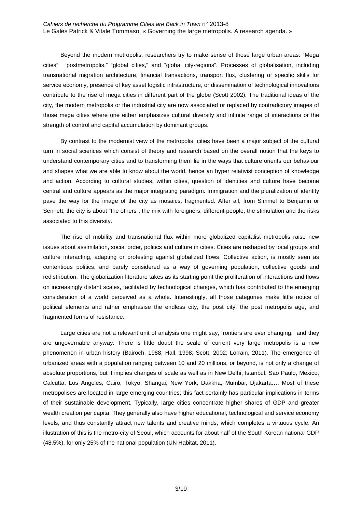Beyond the modern metropolis, researchers try to make sense of those large urban areas: "Mega cities" "postmetropolis," "global cities," and "global city-regions". Processes of globalisation, including transnational migration architecture, financial transactions, transport flux, clustering of specific skills for service economy, presence of key asset logistic infrastructure, or dissemination of technological innovations contribute to the rise of mega cities in different part of the globe (Scott 2002). The traditional ideas of the city, the modern metropolis or the industrial city are now associated or replaced by contradictory images of those mega cities where one either emphasizes cultural diversity and infinite range of interactions or the strength of control and capital accumulation by dominant groups.

By contrast to the modernist view of the metropolis, cities have been a major subject of the cultural turn in social sciences which consist of theory and research based on the overall notion that the keys to understand contemporary cities and to transforming them lie in the ways that culture orients our behaviour and shapes what we are able to know about the world, hence an hyper relativist conception of knowledge and action. According to cultural studies, within cities, question of identities and culture have become central and culture appears as the major integrating paradigm. Immigration and the pluralization of identity pave the way for the image of the city as mosaics, fragmented. After all, from Simmel to Benjamin or Sennett, the city is about "the others", the mix with foreigners, different people, the stimulation and the risks associated to this diversity.

The rise of mobility and transnational flux within more globalized capitalist metropolis raise new issues about assimilation, social order, politics and culture in cities. Cities are reshaped by local groups and culture interacting, adapting or protesting against globalized flows. Collective action, is mostly seen as contentious politics, and barely considered as a way of governing population, collective goods and redistribution. The globalization literature takes as its starting point the proliferation of interactions and flows on increasingly distant scales, facilitated by technological changes, which has contributed to the emerging consideration of a world perceived as a whole. Interestingly, all those categories make little notice of political elements and rather emphasise the endless city, the post city, the post metropolis age, and fragmented forms of resistance.

Large cities are not a relevant unit of analysis one might say, frontiers are ever changing, and they are ungovernable anyway. There is little doubt the scale of current very large metropolis is a new phenomenon in urban history (Bairoch, 1988; Hall, 1998; Scott, 2002; Lorrain, 2011). The emergence of urbanized areas with a population ranging between 10 and 20 millions, or beyond, is not only a change of absolute proportions, but it implies changes of scale as well as in New Delhi, Istanbul, Sao Paulo, Mexico, Calcutta, Los Angeles, Cairo, Tokyo, Shangai, New York, Dakkha, Mumbai, Djakarta…. Most of these metropolises are located in large emerging countries; this fact certainly has particular implications in terms of their sustainable development. Typically, large cities concentrate higher shares of GDP and greater wealth creation per capita. They generally also have higher educational, technological and service economy levels, and thus constantly attract new talents and creative minds, which completes a virtuous cycle. An illustration of this is the metro-city of Seoul, which accounts for about half of the South Korean national GDP (48.5%), for only 25% of the national population (UN Habitat, 2011).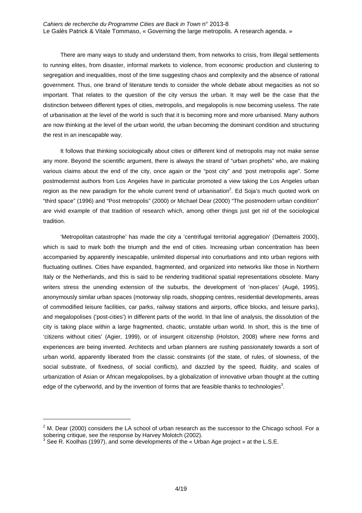There are many ways to study and understand them, from networks to crisis, from illegal settlements to running elites, from disaster, informal markets to violence, from economic production and clustering to segregation and inequalities, most of the time suggesting chaos and complexity and the absence of rational government. Thus, one brand of literature tends to consider the whole debate about megacities as not so important. That relates to the question of the city versus the urban. It may well be the case that the distinction between different types of cities, metropolis, and megalopolis is now becoming useless. The rate of urbanisation at the level of the world is such that it is becoming more and more urbanised. Many authors are now thinking at the level of the urban world, the urban becoming the dominant condition and structuring the rest in an inescapable way.

It follows that thinking sociologically about cities or different kind of metropolis may not make sense any more. Beyond the scientific argument, there is always the strand of "urban prophets" who, are making various claims about the end of the city, once again or the "post city" and 'post metropolis age". Some postmodernist authors from Los Angeles have in particular promoted a view taking the Los Angeles urban region as the new paradigm for the whole current trend of urbanisation<sup>2</sup>. Ed Soja's much quoted work on "third space" (1996) and "Post metropolis" (2000) or Michael Dear (2000) "The postmodern urban condition" are vivid example of that tradition of research which, among other things just get rid of the sociological tradition.

'Metropolitan catastrophe' has made the city a 'centrifugal territorial aggregation' (Dematteis 2000), which is said to mark both the triumph and the end of cities. Increasing urban concentration has been accompanied by apparently inescapable, unlimited dispersal into conurbations and into urban regions with fluctuating outlines. Cities have expanded, fragmented, and organized into networks like those in Northern Italy or the Netherlands, and this is said to be rendering traditional spatial representations obsolete. Many writers stress the unending extension of the suburbs, the development of 'non-places' (Augé, 1995), anonymously similar urban spaces (motorway slip roads, shopping centres, residential developments, areas of commodified leisure facilities, car parks, railway stations and airports, office blocks, and leisure parks), and megalopolises ('post-cities') in different parts of the world. In that line of analysis, the dissolution of the city is taking place within a large fragmented, chaotic, unstable urban world. In short, this is the time of 'citizens without cities' (Agier, 1999), or of insurgent citizenship (Holston, 2008) where new forms and experiences are being invented. Architects and urban planners are rushing passionately towards a sort of urban world, apparently liberated from the classic constraints (of the state, of rules, of slowness, of the social substrate, of fixedness, of social conflicts), and dazzled by the speed, fluidity, and scales of urbanization of Asian or African megalopolises, by a globalization of innovative urban thought at the cutting edge of the cyberworld, and by the invention of forms that are feasible thanks to technologies<sup>3</sup>.

 $2$  M. Dear (2000) considers the LA school of urban research as the successor to the Chicago school. For a sobering critique, see the response by Harvey Molotch (2002).<br><sup>3</sup> See R. Koolhas (1997), and some developments of the « Urban Age project » at the L.S.E.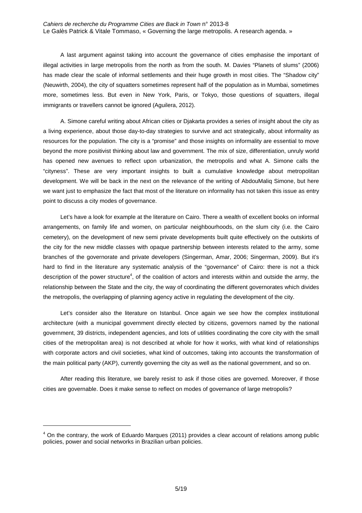A last argument against taking into account the governance of cities emphasise the important of illegal activities in large metropolis from the north as from the south. M. Davies "Planets of slums" (2006) has made clear the scale of informal settlements and their huge growth in most cities. The "Shadow city" (Neuwirth, 2004), the city of squatters sometimes represent half of the population as in Mumbai, sometimes more, sometimes less. But even in New York, Paris, or Tokyo, those questions of squatters, illegal immigrants or travellers cannot be ignored (Aguilera, 2012).

A. Simone careful writing about African cities or Djakarta provides a series of insight about the city as a living experience, about those day-to-day strategies to survive and act strategically, about informality as resources for the population. The city is a "promise" and those insights on informality are essential to move beyond the more positivist thinking about law and government. The mix of size, differentiation, unruly world has opened new avenues to reflect upon urbanization, the metropolis and what A. Simone calls the "cityness". These are very important insights to built a cumulative knowledge about metropolitan development. We will be back in the next on the relevance of the writing of AbdouMaliq Simone, but here we want just to emphasize the fact that most of the literature on informality has not taken this issue as entry point to discuss a city modes of governance.

Let's have a look for example at the literature on Cairo. There a wealth of excellent books on informal arrangements, on family life and women, on particular neighbourhoods, on the slum city (i.e. the Cairo cemetery), on the development of new semi private developments built quite effectively on the outskirts of the city for the new middle classes with opaque partnership between interests related to the army, some branches of the governorate and private developers (Singerman, Amar, 2006; Singerman, 2009). But it's hard to find in the literature any systematic analysis of the "governance" of Cairo: there is not a thick description of the power structure<sup>4</sup>, of the coalition of actors and interests within and outside the army, the relationship between the State and the city, the way of coordinating the different governorates which divides the metropolis, the overlapping of planning agency active in regulating the development of the city.

Let's consider also the literature on Istanbul. Once again we see how the complex institutional architecture (with a municipal government directly elected by citizens, governors named by the national government, 39 districts, independent agencies, and lots of utilities coordinating the core city with the small cities of the metropolitan area) is not described at whole for how it works, with what kind of relationships with corporate actors and civil societies, what kind of outcomes, taking into accounts the transformation of the main political party (AKP), currently governing the city as well as the national government, and so on.

After reading this literature, we barely resist to ask if those cities are governed. Moreover, if those cities are governable. Does it make sense to reflect on modes of governance of large metropolis?

<sup>&</sup>lt;sup>4</sup> On the contrary, the work of Eduardo Marques (2011) provides a clear account of relations among public policies, power and social networks in Brazilian urban policies.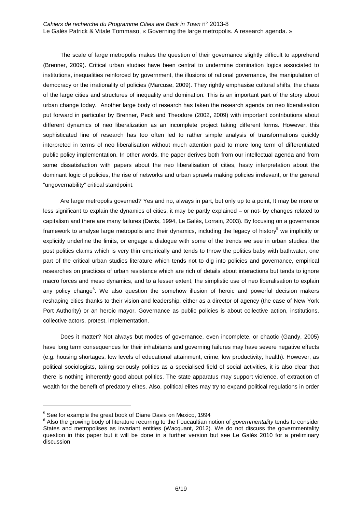The scale of large metropolis makes the question of their governance slightly difficult to apprehend (Brenner, 2009). Critical urban studies have been central to undermine domination logics associated to institutions, inequalities reinforced by government, the illusions of rational governance, the manipulation of democracy or the irrationality of policies (Marcuse, 2009). They rightly emphasise cultural shifts, the chaos of the large cities and structures of inequality and domination. This is an important part of the story about urban change today. Another large body of research has taken the research agenda on neo liberalisation put forward in particular by Brenner, Peck and Theodore (2002, 2009) with important contributions about different dynamics of neo liberalization as an incomplete project taking different forms. However, this sophisticated line of research has too often led to rather simple analysis of transformations quickly interpreted in terms of neo liberalisation without much attention paid to more long term of differentiated public policy implementation. In other words, the paper derives both from our intellectual agenda and from some dissatisfaction with papers about the neo liberalisation of cities, hasty interpretation about the dominant logic of policies, the rise of networks and urban sprawls making policies irrelevant, or the general "ungovernability" critical standpoint.

Are large metropolis governed? Yes and no, always in part, but only up to a point, It may be more or less significant to explain the dynamics of cities, it may be partly explained – or not- by changes related to capitalism and there are many failures (Davis, 1994, Le Galès, Lorrain, 2003). By focusing on a governance framework to analyse large metropolis and their dynamics, including the legacy of history<sup>5</sup> we implicitly or explicitly underline the limits, or engage a dialogue with some of the trends we see in urban studies: the post politics claims which is very thin empirically and tends to throw the politics baby with bathwater, one part of the critical urban studies literature which tends not to dig into policies and governance, empirical researches on practices of urban resistance which are rich of details about interactions but tends to ignore macro forces and meso dynamics, and to a lesser extent, the simplistic use of neo liberalisation to explain any policy change<sup>6</sup>. We also question the somehow illusion of heroic and powerful decision makers reshaping cities thanks to their vision and leadership, either as a director of agency (the case of New York Port Authority) or an heroic mayor. Governance as public policies is about collective action, institutions, collective actors, protest, implementation.

Does it matter? Not always but modes of governance, even incomplete, or chaotic (Gandy, 2005) have long term consequences for their inhabitants and governing failures may have severe negative effects (e.g. housing shortages, low levels of educational attainment, crime, low productivity, health). However, as political sociologists, taking seriously politics as a specialised field of social activities, it is also clear that there is nothing inherently good about politics. The state apparatus may support violence, of extraction of wealth for the benefit of predatory elites. Also, political elites may try to expand political regulations in order

l

<sup>&</sup>lt;sup>5</sup> See for example the great book of Diane Davis on Mexico, 1994

<sup>&</sup>lt;sup>6</sup> Also the growing body of literature recurring to the Foucaultian notion of governmentality tends to consider States and metropolises as invariant entities (Wacquant, 2012). We do not discuss the governmentality question in this paper but it will be done in a further version but see Le Galès 2010 for a preliminary discussion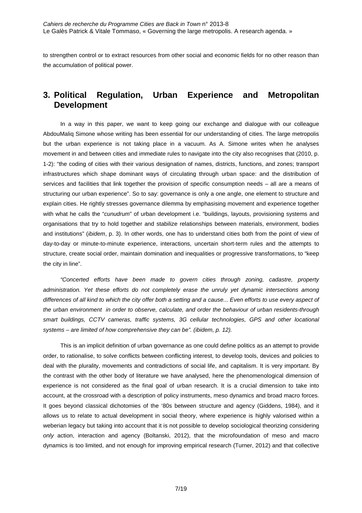to strengthen control or to extract resources from other social and economic fields for no other reason than the accumulation of political power.

## **3. Political Regulation, Urban Experience and Metropolitan Development**

In a way in this paper, we want to keep going our exchange and dialogue with our colleague AbdouMaliq Simone whose writing has been essential for our understanding of cities. The large metropolis but the urban experience is not taking place in a vacuum. As A. Simone writes when he analyses movement in and between cities and immediate rules to navigate into the city also recognises that (2010, p. 1-2): "the coding of cities with their various designation of names, districts, functions, and zones; transport infrastructures which shape dominant ways of circulating through urban space: and the distribution of services and facilities that link together the provision of specific consumption needs – all are a means of structuring our urban experience". So to say: governance is only a one angle, one element to structure and explain cities. He rightly stresses governance dilemma by emphasising movement and experience together with what he calls the "*cunudrum*" of urban development i.e. "buildings, layouts, provisioning systems and organisations that try to hold together and stabilize relationships between materials, environment, bodies and institutions" (ibidem, p. 3). In other words, one has to understand cities both from the point of view of day-to-day or minute-to-minute experience, interactions, uncertain short-term rules and the attempts to structure, create social order, maintain domination and inequalities or progressive transformations, to "keep the city in line".

"Concerted efforts have been made to govern cities through zoning, cadastre, property administration. Yet these efforts do not completely erase the unruly yet dynamic intersections among differences of all kind to which the city offer both a setting and a cause... Even efforts to use every aspect of the urban environment in order to observe, calculate, and order the behaviour of urban residents-through smart buildings, CCTV cameras, traffic systems, 3G cellular technologies, GPS and other locational systems – are limited of how comprehensive they can be". (ibidem, p. 12).

This is an implicit definition of urban governance as one could define politics as an attempt to provide order, to rationalise, to solve conflicts between conflicting interest, to develop tools, devices and policies to deal with the plurality, movements and contradictions of social life, and capitalism. It is very important. By the contrast with the other body of literature we have analysed, here the phenomenological dimension of experience is not considered as the final goal of urban research. It is a crucial dimension to take into account, at the crossroad with a description of policy instruments, meso dynamics and broad macro forces. It goes beyond classical dichotomies of the '80s between structure and agency (Giddens, 1984), and it allows us to relate to actual development in social theory, where experience is highly valorised within a weberian legacy but taking into account that it is not possible to develop sociological theorizing considering only action, interaction and agency (Boltanski, 2012), that the microfoundation of meso and macro dynamics is too limited, and not enough for improving empirical research (Turner, 2012) and that collective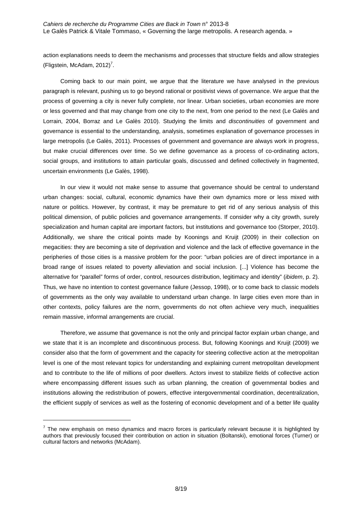action explanations needs to deem the mechanisms and processes that structure fields and allow strategies (Fligstein, McAdam, 2012)<sup>7</sup>.

Coming back to our main point, we argue that the literature we have analysed in the previous paragraph is relevant, pushing us to go beyond rational or positivist views of governance. We argue that the process of governing a city is never fully complete, nor linear. Urban societies, urban economies are more or less governed and that may change from one city to the next, from one period to the next (Le Galès and Lorrain, 2004, Borraz and Le Galès 2010). Studying the limits and *discontinuities* of government and governance is essential to the understanding, analysis, sometimes explanation of governance processes in large metropolis (Le Galès, 2011). Processes of government and governance are always work in progress, but make crucial differences over time. So we define governance as a process of co-ordinating actors, social groups, and institutions to attain particular goals, discussed and defined collectively in fragmented, uncertain environments (Le Galès, 1998).

In our view it would not make sense to assume that governance should be central to understand urban changes: social, cultural, economic dynamics have their own dynamics more or less mixed with nature or politics. However, by contrast, it may be premature to get rid of any serious analysis of this political dimension, of public policies and governance arrangements. If consider why a city growth, surely specialization and human capital are important factors, but institutions and governance too (Storper, 2010). Additionally, we share the critical points made by Koonings and Kruijt (2009) in their collection on megacities: they are becoming a site of deprivation and violence and the lack of effective governance in the peripheries of those cities is a massive problem for the poor: "urban policies are of direct importance in a broad range of issues related to poverty alleviation and social inclusion. [...] Violence has become the alternative for "parallel" forms of order, control, resources distribution, legitimacy and identity" (ibidem, p. 2). Thus, we have no intention to contest governance failure (Jessop, 1998), or to come back to classic models of governments as the only way available to understand urban change. In large cities even more than in other contexts, policy failures are the norm, governments do not often achieve very much, inequalities remain massive, informal arrangements are crucial.

Therefore, we assume that governance is not the only and principal factor explain urban change, and we state that it is an incomplete and discontinuous process. But, following Koonings and Kruijt (2009) we consider also that the form of government and the capacity for steering collective action at the metropolitan level is one of the most relevant topics for understanding and explaining current metropolitan development and to contribute to the life of millions of poor dwellers. Actors invest to stabilize fields of collective action where encompassing different issues such as urban planning, the creation of governmental bodies and institutions allowing the redistribution of powers, effective intergovernmental coordination, decentralization, the efficient supply of services as well as the fostering of economic development and of a better life quality

l

 $<sup>7</sup>$  The new emphasis on meso dynamics and macro forces is particularly relevant because it is highlighted by</sup> authors that previously focused their contribution on action in situation (Boltanski), emotional forces (Turner) or cultural factors and networks (McAdam).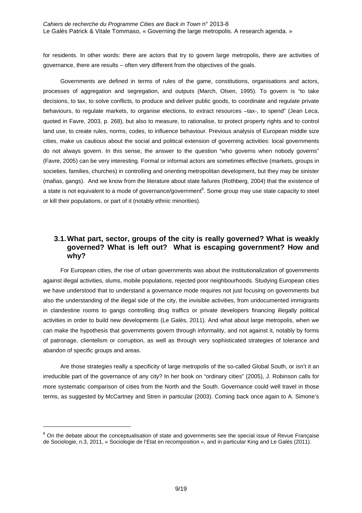for residents. In other words: there are actors that try to govern large metropolis, there are activities of governance, there are results – often very different from the objectives of the goals.

Governments are defined in terms of rules of the game, constitutions, organisations and actors, processes of aggregation and segregation, and outputs (March, Olsen, 1995). To govern is "to take decisions, to tax, to solve conflicts, to produce and deliver public goods, to coordinate and regulate private behaviours, to regulate markets, to organise elections, to extract resources –tax-, to spend" (Jean Leca, quoted in Favre, 2003, p. 268), but also to measure, to rationalise, to protect property rights and to control land use, to create rules, norms, codes, to influence behaviour. Previous analysis of European middle size cities, make us cautious about the social and political extension of governing activities: local governments do not always govern. In this sense, the answer to the question "who governs when nobody governs" (Favre, 2005) can be very interesting. Formal or informal actors are sometimes effective (markets, groups in societies, families, churches) in controlling and orienting metropolitan development, but they may be sinister (mafias, gangs). And we know from the literature about state failures (Rothberg, 2004) that the existence of a state is not equivalent to a mode of governance/government<sup>8</sup>. Some group may use state capacity to steel or kill their populations, or part of it (notably ethnic minorities).

### **3.1. What part, sector, groups of the city is really governed? What is weakly governed? What is left out? What is escaping government? How and why?**

For European cities, the rise of urban governments was about the institutionalization of governments against illegal activities, slums, mobile populations, rejected poor neighbourhoods. Studying European cities we have understood that to understand a governance mode requires not just focusing on governments but also the understanding of the illegal side of the city, the invisible activities, from undocumented immigrants in clandestine rooms to gangs controlling drug traffics or private developers financing illegally political activities in order to build new developments (Le Galès, 2011). And what about large metropolis, when we can make the hypothesis that governments govern through informality, and not against it, notably by forms of patronage, clientelism or corruption, as well as through very sophisticated strategies of tolerance and abandon of specific groups and areas.

Are those strategies really a specificity of large metropolis of the so-called Global South, or isn't it an irreducible part of the governance of any city? In her book on "ordinary cities" (2005), J. Robinson calls for more systematic comparison of cities from the North and the South. Governance could well travel in those terms, as suggested by McCartney and Stren in particular (2003). Coming back once again to A. Simone's

 $8$  On the debate about the conceptualisation of state and governments see the special issue of Revue Française de Sociologie, n.3, 2011, « Sociologie de l'Etat en recomposition », and in particular King and Le Galès (2011).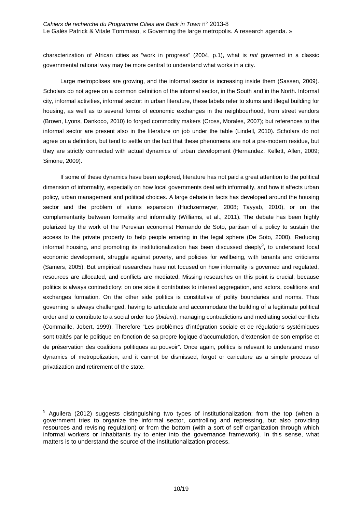characterization of African cities as "work in progress" (2004, p.1), what is not governed in a classic governmental rational way may be more central to understand what works in a city.

Large metropolises are growing, and the informal sector is increasing inside them (Sassen, 2009). Scholars do not agree on a common definition of the informal sector, in the South and in the North. Informal city, informal activities, informal sector: in urban literature, these labels refer to slums and illegal building for housing, as well as to several forms of economic exchanges in the neighbourhood, from street vendors (Brown, Lyons, Dankoco, 2010) to forged commodity makers (Cross, Morales, 2007); but references to the informal sector are present also in the literature on job under the table (Lindell, 2010). Scholars do not agree on a definition, but tend to settle on the fact that these phenomena are not a pre-modern residue, but they are strictly connected with actual dynamics of urban development (Hernandez, Kellett, Allen, 2009; Simone, 2009).

If some of these dynamics have been explored, literature has not paid a great attention to the political dimension of informality, especially on how local governments deal with informality, and how it affects urban policy, urban management and political choices. A large debate in facts has developed around the housing sector and the problem of slums expansion (Huchzermeyer, 2008; Tayyab, 2010), or on the complementarity between formality and informality (Williams, et al., 2011). The debate has been highly polarized by the work of the Peruvian economist Hernando de Soto, partisan of a policy to sustain the access to the private property to help people entering in the legal sphere (De Soto, 2000). Reducing informal housing, and promoting its institutionalization has been discussed deeply<sup>9</sup>, to understand local economic development, struggle against poverty, and policies for wellbeing, with tenants and criticisms (Samers, 2005). But empirical researches have not focused on how informality is governed and regulated, resources are allocated, and conflicts are mediated. Missing researches on this point is crucial, because politics is always contradictory: on one side it contributes to interest aggregation, and actors, coalitions and exchanges formation. On the other side politics is constitutive of polity boundaries and norms. Thus governing is always challenged, having to articulate and accommodate the building of a legitimate political order and to contribute to a social order too (*ibidem*), managing contradictions and mediating social conflicts (Commaille, Jobert, 1999). Therefore "Les problèmes d'intégration sociale et de régulations systémiques sont traités par le politique en fonction de sa propre logique d'accumulation, d'extension de son emprise et de préservation des coalitions politiques au pouvoir". Once again, politics is relevant to understand meso dynamics of metropolization, and it cannot be dismissed, forgot or caricature as a simple process of privatization and retirement of the state.

 $9$  Aguilera (2012) suggests distinguishing two types of institutionalization: from the top (when a government tries to organize the informal sector, controlling and repressing, but also providing resources and revising regulation) or from the bottom (with a sort of self organization through which informal workers or inhabitants try to enter into the governance framework). In this sense, what matters is to understand the source of the institutionalization process.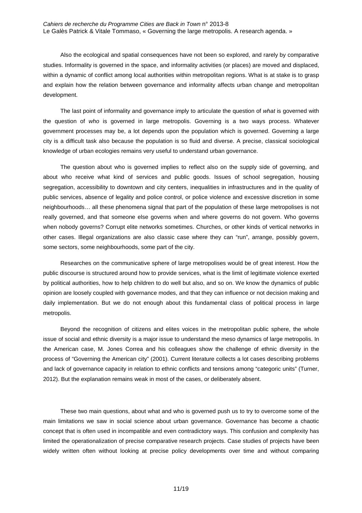Also the ecological and spatial consequences have not been so explored, and rarely by comparative studies. Informality is governed in the space, and informality activities (or places) are moved and displaced, within a dynamic of conflict among local authorities within metropolitan regions. What is at stake is to grasp and explain how the relation between governance and informality affects urban change and metropolitan development.

The last point of informality and governance imply to articulate the question of what is governed with the question of who is governed in large metropolis. Governing is a two ways process. Whatever government processes may be, a lot depends upon the population which is governed. Governing a large city is a difficult task also because the population is so fluid and diverse. A precise, classical sociological knowledge of urban ecologies remains very useful to understand urban governance.

The question about who is governed implies to reflect also on the supply side of governing, and about who receive what kind of services and public goods. Issues of school segregation, housing segregation, accessibility to downtown and city centers, inequalities in infrastructures and in the quality of public services, absence of legality and police control, or police violence and excessive discretion in some neighbourhoods… all these phenomena signal that part of the population of these large metropolises is not really governed, and that someone else governs when and where governs do not govern. Who governs when nobody governs? Corrupt elite networks sometimes. Churches, or other kinds of vertical networks in other cases. Illegal organizations are also classic case where they can "run", arrange, possibly govern, some sectors, some neighbourhoods, some part of the city.

Researches on the communicative sphere of large metropolises would be of great interest. How the public discourse is structured around how to provide services, what is the limit of legitimate violence exerted by political authorities, how to help children to do well but also, and so on. We know the dynamics of public opinion are loosely coupled with governance modes, and that they can influence or not decision making and daily implementation. But we do not enough about this fundamental class of political process in large metropolis.

Beyond the recognition of citizens and elites voices in the metropolitan public sphere, the whole issue of social and ethnic diversity is a major issue to understand the meso dynamics of large metropolis. In the American case, M. Jones Correa and his colleagues show the challenge of ethnic diversity in the process of "Governing the American city" (2001). Current literature collects a lot cases describing problems and lack of governance capacity in relation to ethnic conflicts and tensions among "categoric units" (Turner, 2012). But the explanation remains weak in most of the cases, or deliberately absent.

These two main questions, about what and who is governed push us to try to overcome some of the main limitations we saw in social science about urban governance. Governance has become a chaotic concept that is often used in incompatible and even contradictory ways. This confusion and complexity has limited the operationalization of precise comparative research projects. Case studies of projects have been widely written often without looking at precise policy developments over time and without comparing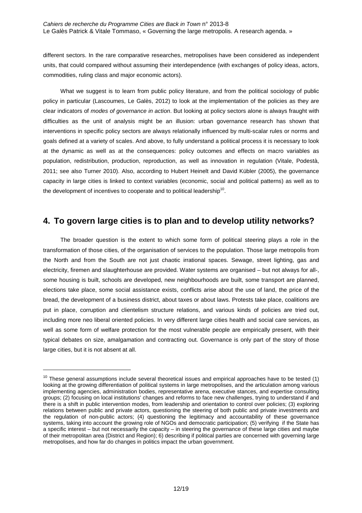different sectors. In the rare comparative researches, metropolises have been considered as independent units, that could compared without assuming their interdependence (with exchanges of policy ideas, actors, commodities, ruling class and major economic actors).

What we suggest is to learn from public policy literature, and from the political sociology of public policy in particular (Lascoumes, Le Galès, 2012) to look at the implementation of the policies as they are clear indicators of modes of governance in action. But looking at policy sectors alone is always fraught with difficulties as the unit of analysis might be an illusion: urban governance research has shown that interventions in specific policy sectors are always relationally influenced by multi-scalar rules or norms and goals defined at a variety of scales. And above, to fully understand a political process it is necessary to look at the dynamic as well as at the consequences: policy outcomes and effects on macro variables as population, redistribution, production, reproduction, as well as innovation in regulation (Vitale, Podestà, 2011; see also Turner 2010). Also, according to Hubert Heinelt and David Kübler (2005), the governance capacity in large cities is linked to context variables (economic, social and political patterns) as well as to the development of incentives to cooperate and to political leadership $^{10}$ .

## **4. To govern large cities is to plan and to develop utility networks?**

The broader question is the extent to which some form of political steering plays a role in the transformation of those cities, of the organisation of services to the population. Those large metropolis from the North and from the South are not just chaotic irrational spaces. Sewage, street lighting, gas and electricity, firemen and slaughterhouse are provided. Water systems are organised – but not always for all-, some housing is built, schools are developed, new neighbourhoods are built, some transport are planned, elections take place, some social assistance exists, conflicts arise about the use of land, the price of the bread, the development of a business district, about taxes or about laws. Protests take place, coalitions are put in place, corruption and clientelism structure relations, and various kinds of policies are tried out, including more neo liberal oriented policies. In very different large cities health and social care services, as well as some form of welfare protection for the most vulnerable people are empirically present, with their typical debates on size, amalgamation and contracting out. Governance is only part of the story of those large cities, but it is not absent at all.

 $10$  These general assumptions include several theoretical issues and empirical approaches have to be tested (1) looking at the growing differentiation of political systems in large metropolises, and the articulation among various implementing agencies, administration bodies, representative arena, executive stances, and expertise consulting groups; (2) focusing on local institutions' changes and reforms to face new challenges, trying to understand if and there is a shift in public intervention modes, from leadership and orientation to control over policies; (3) exploring relations between public and private actors, questioning the steering of both public and private investments and the regulation of non-public actors; (4) questioning the legitimacy and accountability of these governance systems, taking into account the growing role of NGOs and democratic participation; (5) verifying if the State has a specific interest – but not necessarily the capacity – in steering the governance of these large cities and maybe of their metropolitan area (District and Region); 6) describing if political parties are concerned with governing large metropolises, and how far do changes in politics impact the urban government.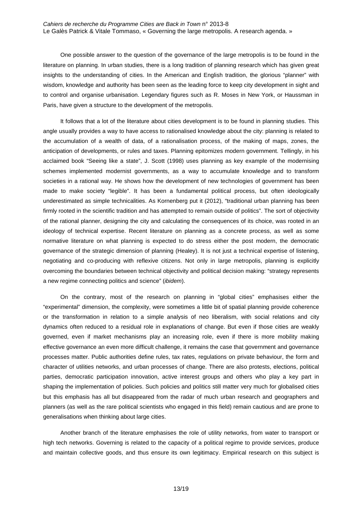One possible answer to the question of the governance of the large metropolis is to be found in the literature on planning. In urban studies, there is a long tradition of planning research which has given great insights to the understanding of cities. In the American and English tradition, the glorious "planner" with wisdom, knowledge and authority has been seen as the leading force to keep city development in sight and to control and organise urbanisation. Legendary figures such as R. Moses in New York, or Haussman in Paris, have given a structure to the development of the metropolis.

It follows that a lot of the literature about cities development is to be found in planning studies. This angle usually provides a way to have access to rationalised knowledge about the city: planning is related to the accumulation of a wealth of data, of a rationalisation process, of the making of maps, zones, the anticipation of developments, or rules and taxes. Planning epitomizes modern government. Tellingly, in his acclaimed book "Seeing like a state", J. Scott (1998) uses planning as key example of the modernising schemes implemented modernist governments, as a way to accumulate knowledge and to transform societies in a rational way. He shows how the development of new technologies of government has been made to make society "legible". It has been a fundamental political process, but often ideologically underestimated as simple technicalities. As Kornenberg put it (2012), "traditional urban planning has been firmly rooted in the scientific tradition and has attempted to remain outside of politics". The sort of objectivity of the rational planner, designing the city and calculating the consequences of its choice, was rooted in an ideology of technical expertise. Recent literature on planning as a concrete process, as well as some normative literature on what planning is expected to do stress either the post modern, the democratic governance of the strategic dimension of planning (Healey). It is not just a technical expertise of listening, negotiating and co-producing with reflexive citizens. Not only in large metropolis, planning is explicitly overcoming the boundaries between technical objectivity and political decision making: "strategy represents a new regime connecting politics and science" (ibidem).

On the contrary, most of the research on planning in "global cities" emphasises either the "experimental" dimension, the complexity, were sometimes a little bit of spatial planning provide coherence or the transformation in relation to a simple analysis of neo liberalism, with social relations and city dynamics often reduced to a residual role in explanations of change. But even if those cities are weakly governed, even if market mechanisms play an increasing role, even if there is more mobility making effective governance an even more difficult challenge, it remains the case that government and governance processes matter. Public authorities define rules, tax rates, regulations on private behaviour, the form and character of utilities networks, and urban processes of change. There are also protests, elections, political parties, democratic participation innovation, active interest groups and others who play a key part in shaping the implementation of policies. Such policies and politics still matter very much for globalised cities but this emphasis has all but disappeared from the radar of much urban research and geographers and planners (as well as the rare political scientists who engaged in this field) remain cautious and are prone to generalisations when thinking about large cities.

Another branch of the literature emphasises the role of utility networks, from water to transport or high tech networks. Governing is related to the capacity of a political regime to provide services, produce and maintain collective goods, and thus ensure its own legitimacy. Empirical research on this subject is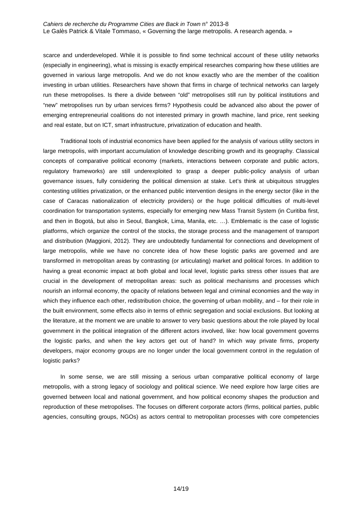scarce and underdeveloped. While it is possible to find some technical account of these utility networks (especially in engineering), what is missing is exactly empirical researches comparing how these utilities are governed in various large metropolis. And we do not know exactly who are the member of the coalition investing in urban utilities. Researchers have shown that firms in charge of technical networks can largely run these metropolises. Is there a divide between "old" metropolises still run by political institutions and "new" metropolises run by urban services firms? Hypothesis could be advanced also about the power of emerging entrepreneurial coalitions do not interested primary in growth machine, land price, rent seeking and real estate, but on ICT, smart infrastructure, privatization of education and health.

Traditional tools of industrial economics have been applied for the analysis of various utility sectors in large metropolis, with important accumulation of knowledge describing growth and its geography. Classical concepts of comparative political economy (markets, interactions between corporate and public actors, regulatory frameworks) are still underexploited to grasp a deeper public-policy analysis of urban governance issues, fully considering the political dimension at stake. Let's think at ubiquitous struggles contesting utilities privatization, or the enhanced public intervention designs in the energy sector (like in the case of Caracas nationalization of electricity providers) or the huge political difficulties of multi-level coordination for transportation systems, especially for emerging new Mass Transit System (in Curitiba first, and then in Bogotá, but also in Seoul, Bangkok, Lima, Manila, etc. …). Emblematic is the case of logistic platforms, which organize the control of the stocks, the storage process and the management of transport and distribution (Maggioni, 2012). They are undoubtedly fundamental for connections and development of large metropolis, while we have no concrete idea of how these logistic parks are governed and are transformed in metropolitan areas by contrasting (or articulating) market and political forces. In addition to having a great economic impact at both global and local level, logistic parks stress other issues that are crucial in the development of metropolitan areas: such as political mechanisms and processes which nourish an informal economy, the opacity of relations between legal and criminal economies and the way in which they influence each other, redistribution choice, the governing of urban mobility, and – for their role in the built environment, some effects also in terms of ethnic segregation and social exclusions. But looking at the literature, at the moment we are unable to answer to very basic questions about the role played by local government in the political integration of the different actors involved, like: how local government governs the logistic parks, and when the key actors get out of hand? In which way private firms, property developers, major economy groups are no longer under the local government control in the regulation of logistic parks?

In some sense, we are still missing a serious urban comparative political economy of large metropolis, with a strong legacy of sociology and political science. We need explore how large cities are governed between local and national government, and how political economy shapes the production and reproduction of these metropolises. The focuses on different corporate actors (firms, political parties, public agencies, consulting groups, NGOs) as actors central to metropolitan processes with core competencies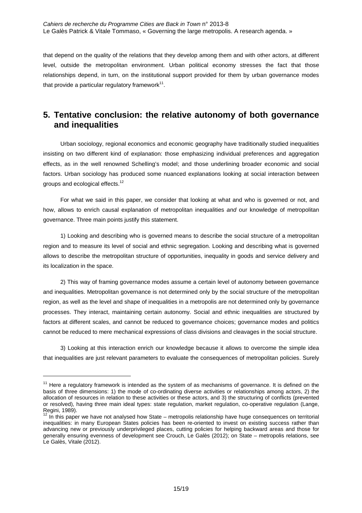that depend on the quality of the relations that they develop among them and with other actors, at different level, outside the metropolitan environment. Urban political economy stresses the fact that those relationships depend, in turn, on the institutional support provided for them by urban governance modes that provide a particular regulatory framework $^{11}$ .

## **5. Tentative conclusion: the relative autonomy of both governance and inequalities**

Urban sociology, regional economics and economic geography have traditionally studied inequalities insisting on two different kind of explanation: those emphasizing individual preferences and aggregation effects, as in the well renowned Schelling's model; and those underlining broader economic and social factors. Urban sociology has produced some nuanced explanations looking at social interaction between groups and ecological effects.<sup>12</sup>

For what we said in this paper, we consider that looking at what and who is governed or not, and how, allows to enrich causal explanation of metropolitan inequalities and our knowledge of metropolitan governance. Three main points justify this statement.

1) Looking and describing who is governed means to describe the social structure of a metropolitan region and to measure its level of social and ethnic segregation. Looking and describing what is governed allows to describe the metropolitan structure of opportunities, inequality in goods and service delivery and its localization in the space.

2) This way of framing governance modes assume a certain level of autonomy between governance and inequalities. Metropolitan governance is not determined only by the social structure of the metropolitan region, as well as the level and shape of inequalities in a metropolis are not determined only by governance processes. They interact, maintaining certain autonomy. Social and ethnic inequalities are structured by factors at different scales, and cannot be reduced to governance choices; governance modes and politics cannot be reduced to mere mechanical expressions of class divisions and cleavages in the social structure.

3) Looking at this interaction enrich our knowledge because it allows to overcome the simple idea that inequalities are just relevant parameters to evaluate the consequences of metropolitan policies. Surely

 $11$  Here a regulatory framework is intended as the system of as mechanisms of governance. It is defined on the basis of three dimensions: 1) the mode of co-ordinating diverse activities or relationships among actors, 2) the allocation of resources in relation to these activities or these actors, and 3) the structuring of conflicts (prevented or resolved), having three main ideal types: state regulation, market regulation, co-operative regulation (Lange, Regini, 1989).

 $12$  In this paper we have not analysed how State – metropolis relationship have huge consequences on territorial inequalities: in many European States policies has been re-oriented to invest on existing success rather than advancing new or previously underprivileged places, cutting policies for helping backward areas and those for generally ensuring evenness of development see Crouch, Le Galès (2012); on State – metropolis relations, see Le Galès, Vitale (2012).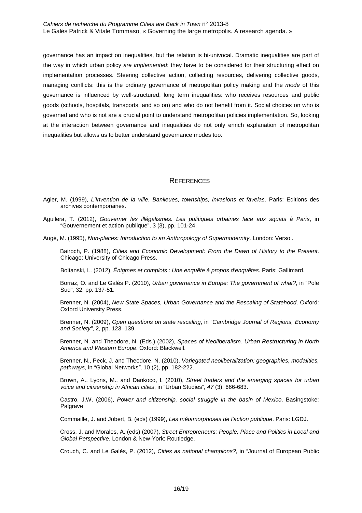governance has an impact on inequalities, but the relation is bi-univocal. Dramatic inequalities are part of the way in which urban policy are implemented: they have to be considered for their structuring effect on implementation processes. Steering collective action, collecting resources, delivering collective goods, managing conflicts: this is the ordinary governance of metropolitan policy making and the mode of this governance is influenced by well-structured, long term inequalities: who receives resources and public goods (schools, hospitals, transports, and so on) and who do not benefit from it. Social choices on who is governed and who is not are a crucial point to understand metropolitan policies implementation. So, looking at the interaction between governance and inequalities do not only enrich explanation of metropolitan inequalities but allows us to better understand governance modes too.

### **REFERENCES**

- Agier, M. (1999), L'Invention de la ville. Banlieues, townships, invasions et favelas. Paris: Editions des archives contemporaines.
- Aguilera, T. (2012), Gouverner les illégalismes. Les politiques urbaines face aux squats à Paris, in "Gouvernement et action publique", 3 (3), pp. 101-24.

Augé, M. (1995), Non-places: Introduction to an Anthropology of Supermodernity. London: Verso.

 Bairoch, P. (1988), Cities and Economic Development: From the Dawn of History to the Present. Chicago: University of Chicago Press.

Boltanski, L. (2012), Énigmes et complots : Une enquête à propos d'enquêtes. Paris: Gallimard.

 Borraz, O. and Le Galès P. (2010), Urban governance in Europe: The government of what?, in "Pole Sud", 32, pp. 137-51.

Brenner, N. (2004), New State Spaces, Urban Governance and the Rescaling of Statehood. Oxford: Oxford University Press.

 Brenner, N. (2009), Open questions on state rescaling, in "Cambridge Journal of Regions, Economy and Society", 2, pp. 123–139.

 Brenner, N. and Theodore, N. (Eds.) (2002), Spaces of Neoliberalism. Urban Restructuring in North America and Western Europe. Oxford: Blackwell.

Brenner, N., Peck, J. and Theodore, N. (2010), Variegated neoliberalization: geographies, modalities, pathways, in "Global Networks", 10 (2), pp. 182-222.

 Brown, A., Lyons, M., and Dankoco, I. (2010), Street traders and the emerging spaces for urban voice and citizenship in African cities, in "Urban Studies", 47 (3), 666-683.

 Castro, J.W. (2006), Power and citizenship, social struggle in the basin of Mexico. Basingstoke: Palgrave

Commaille, J. and Jobert, B. (eds) (1999), Les métamorphoses de l'action publique. Paris: LGDJ.

 Cross, J. and Morales, A. (eds) (2007), Street Entrepreneurs: People, Place and Politics in Local and Global Perspective. London & New-York: Routledge.

Crouch, C. and Le Galès, P. (2012), Cities as national champions?, in "Journal of European Public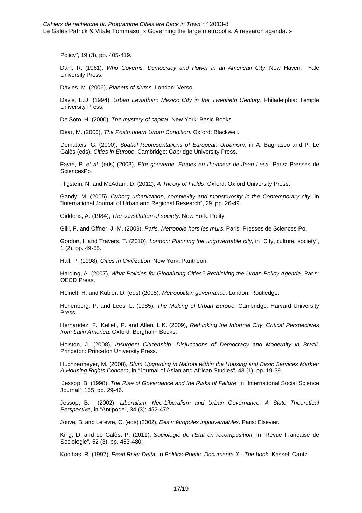Policy", 19 (3), pp. 405-419.

Dahl, R. (1961), Who Governs: Democracy and Power in an American City. New Haven: Yale University Press.

Davies, M. (2006), Planets of slums. London: Verso,

Davis, E.D. (1994), Urban Leviathan: Mexico City in the Twentieth Century. Philadelphia: Temple University Press.

De Soto, H. (2000), The mystery of capital. New York: Basic Books

Dear, M. (2000), The Postmodern Urban Condition. Oxford: Blackwell.

 Dematteis, G. (2000), Spatial Representations of European Urbanism, in A. Bagnasco and P. Le Galès (eds), Cities in Europe. Cambridge: Cabridge University Press.

 Favre, P. et al. (eds) (2003), Etre gouverné. Etudes en l'honneur de Jean Leca. Paris: Presses de SciencesPo.

Fligstein, N. and McAdam, D. (2012), A Theory of Fields. Oxford: Oxford University Press.

 Gandy, M. (2005), Cyborg urbanization, complexity and monstruosity in the Contemporary city, in "International Journal of Urban and Regional Research", 29, pp. 26-49.

Giddens, A. (1984), The constitution of society. New York: Polity.

Gilli, F. and Offner, J.-M. (2009), Paris, Métropole hors les murs. Paris: Presses de Sciences Po.

Gordon, I. and Travers, T. (2010), London: Planning the ungovernable city, in "City, culture, society", 1 (2), pp. 49-55.

Hall, P. (1998), Cities in Civilization. New York: Pantheon.

 Harding, A. (2007), What Policies for Globalizing Cities? Rethinking the Urban Policy Agenda. Paris: OECD Press.

Heinelt, H. and Kübler, D. (eds) (2005), Metropolitan governance. London: Routledge.

Hohenberg, P. and Lees, L. (1985), The Making of Urban Europe. Cambridge: Harvard University Press.

 Hernandez, F., Kellett, P. and Allen, L.K. (2009), Rethinking the Informal City. Critical Perspectives from Latin America. Oxford: Berghahn Books.

 Holston, J. (2008), Insurgent Citizenship: Disjunctions of Democracy and Modernity in Brazil. Princeton: Princeton University Press.

 Huchzermeyer, M. (2008), Slum Upgrading in Nairobi within the Housing and Basic Services Market: A Housing Rights Concern, in "Journal of Asian and African Studies", 43 (1), pp. 19-39.

 Jessop, B. (1998), The Rise of Governance and the Risks of Failure, in "International Social Science Journal", 155, pp. 29-46.

 Jessop, B. (2002), Liberalism, Neo-Liberalism and Urban Governance: A State Theoretical Perspective, in "Antipode", 34 (3): 452-472.

Jouve, B. and Lefèvre, C. (eds) (2002), Des métropoles ingouvernables. Paris: Elsevier.

King, D. and Le Galès, P. (2011), Sociologie de l'Etat en recomposition, in "Revue Francaise de Sociologie", 52 (3), pp. 453-480.

Koolhas, R. (1997), Pearl River Delta, in Politics-Poetic. Documenta X - The book. Kassel: Cantz.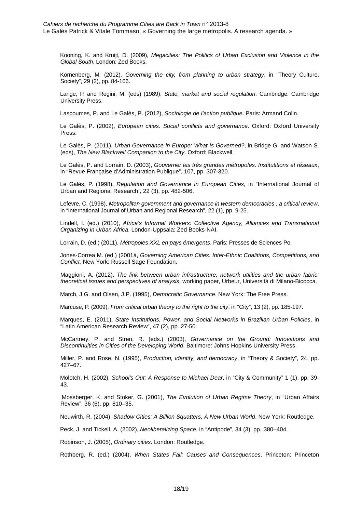Kooning, K. and Kruijt, D. (2009), Megacities: The Politics of Urban Exclusion and Violence in the Global South. London: Zed Books.

 Kornenberg, M. (2012), Governing the city, from planning to urban strategy, in "Theory Culture, Society", 29 (2), pp. 84-106.

 Lange, P. and Regini, M. (eds) (1989), State, market and social regulation. Cambridge: Cambridge University Press.

Lascoumes, P. and Le Galès, P. (2012), Sociologie de l'action publique. Paris: Armand Colin.

 Le Galès, P. (2002), European cities. Social conflicts and governance. Oxford: Oxford University Press.

 Le Galès, P. (2011), Urban Governance in Europe: What Is Governed?, in Bridge G. and Watson S. (eds), The New Blackwell Companion to the City. Oxford: Blackwell.

 Le Galès, P. and Lorrain, D. (2003), Gouverner les très grandes métropoles. Institutitions et réseaux, in "Revue Française d'Administration Publique", 107, pp. 307-320.

 Le Galès, P. (1998), Regulation and Governance in European Cities, in "International Journal of Urban and Regional Research", 22 (3), pp. 482-506.

 Lefevre, C. (1998), Metropolitan government and governance in western democracies : a critical review, in "International Journal of Urban and Regional Research", 22 (1), pp. 9-25.

 Lindell, I. (ed.) (2010), Africa's Informal Workers: Collective Agency, Alliances and Transnational Organizing in Urban Africa. London-Uppsala: Zed Books-NAI.

Lorrain, D. (ed.) (2011), Métropoles XXL en pays émergents. Paris: Presses de Sciences Po.

 Jones-Correa M. (ed.) (2001à, Governing American Cities: Inter-Ethnic Coalitions, Competitions, and Conflict. New York: Russell Sage Foundation.

 Maggioni, A. (2012), The link between urban infrastructure, network utilities and the urban fabric: theoretical issues and perspectives of analysis, working paper, Urbeur, Università di Milano-Bicocca.

March, J.G. and Olsen, J.P. (1995), Democratic Governance. New York: The Free Press.

Marcuse, P. (2009), From critical urban theory to the right to the city, in "City", 13 (2), pp. 185-197.

 Marques, E. (2011), State Institutions, Power, and Social Networks in Brazilian Urban Policies, in "Latin American Research Review", 47 (2), pp. 27-50.

 McCartney, P. and Stren, R. (eds.) (2003), Governance on the Ground: Innovations and Discontinuities in Cities of the Developing World. Baltimore: Johns Hopkins University Press.

 Miller, P. and Rose, N. (1995), Production, identity, and democracy, in "Theory & Society", 24, pp. 427–67.

 Molotch, H. (2002), School's Out: A Response to Michael Dear, in "City & Community" 1 (1), pp. 39- 43.

 Mossberger, K. and Stoker, G. (2001), The Evolution of Urban Regime Theory, in "Urban Affairs Review", 36 (6), pp. 810–35.

Neuwirth, R. (2004), Shadow Cities: A Billion Squatters, A New Urban World. New York: Routledge.

Peck, J. and Tickell, A. (2002), Neoliberalizing Space, in "Antipode", 34 (3), pp. 380–404.

Robinson, J. (2005), Ordinary cities. London: Routledge.

Rothberg, R. (ed.) (2004), When States Fail: Causes and Consequences. Princeton: Princeton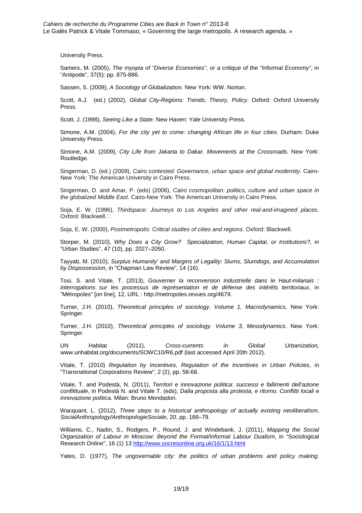University Press.

 Samers, M. (2005), The myopia of "Diverse Economies", or a critique of the "Informal Economy", in "Antipode", 37(5): pp. 875-886.

Sassen, S. (2009), A Sociology of Globalization. New York: WW. Norton.

 Scott, A.J. (ed.) (2002), Global City-Regions: Trends, Theory, Policy. Oxford: Oxford University Press.

Scott, J. (1998), Seeing Like a State. New Haven: Yale University Press.

 Simone, A.M. (2004), For the city yet to come: changing African life in four cities. Durham: Duke University Press.

 Simone, A.M. (2009), City Life from Jakarta to Dakar. Movements at the Crossroads. New York: Routledge.

Singerman, D. (ed.) (2009), Cairo contested. Governance, urban space and global modernity. Cairo-New York: The American University in Cairo Press.

Singerman, D. and Amar, P. (eds) (2006), Cairo cosmopolitan: politics, culture and urban space in the globalized Middle East. Cairo-New York: The American University in Cairo Press.

 Soja, E. W. (1996), Thirdspace: Journeys to Los Angeles and other real-and-imagined places. Oxford: Blackwell.

Soja, E. W. (2000), Postmetropolis: Critical studies of cities and regions. Oxford: Blackwell.

 Storper, M. (2010), Why Does a City Grow? Specialization, Human Capital, or Institutions?, in "Urban Studies", 47 (10), pp. 2027–2050.

 Tayyab, M. (2010), Surplus Humanity' and Margins of Legality: Slums, Slumdogs, and Accumulation by Dispossession, in "Chapman Law Review", 14 (16).

 Tosi, S. and Vitale, T. (2013), Gouverner la reconversion industrielle dans le Haut-milanais : interrogations sur les processus de représentation et de défense des intérêts territoriaux, in "Métropoles" [on line], 12, URL : http://metropoles.revues.org/4679.

 Turner, J.H. (2010), Theoretical principles of sociology. Volume 1, Macrodynamics. New York: Springer.

 Turner, J.H. (2010), Theoretical principles of sociology. Volume 3, Mesodynamics. New York: Springer.

 UN Habitat (2011), Cross-currents in Global Urbanization, www.unhabitat.org/documents/SOWC10/R6.pdf (last accessed April 20th 2012).

 Vitale, T. (2010) Regulation by Incentives, Regulation of the Incentives in Urban Policies, in "Transnational Corporations Review", 2 (2), pp. 58-68.

 Vitale, T. and Podestà, N. (2011), Territori e innovazione politica: successi e fallimenti dell'azione conflittuale, in Podestà N. and Vitale T. (eds), Dalla proposta alla protesta, e ritorno. Conflitti locali e innovazione politica. Milan: Bruno Mondadori.

 Wacquant, L. (2012), Three steps to a historical anthropology of actually existing neoliberalism, SocialAnthropology/AnthropologieSociale, 20, pp. 166–79.

 Williams, C., Nadin, S., Rodgers, P., Round, J. and Windebank, J. (2011), Mapping the Social Organization of Labour in Moscow: Beyond the Formal/informal Labour Dualism, in "Sociological Research Online", 16 (1) 13 http://www.socresonline.org.uk/16/1/13.html

Yates, D. (1977), The ungovernable city: the politics of urban problems and policy making.